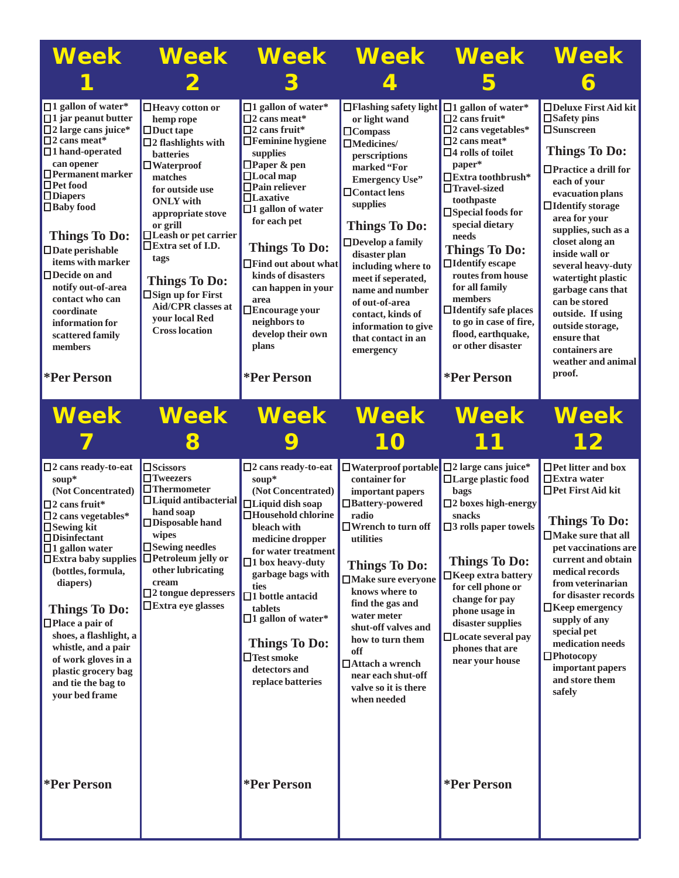| Week                                                                                                                                                                                                                                                                                                                                                                                                                                                                  | <b>Week</b>                                                                                                                                                                                                                                                                                                                                                                                          |                                                                                                                                                                                                                                                                                                                                                                                                                                                    | <b>Week Week</b>                                                                                                                                                                                                                                                                                                                                                                                                | <b>Week</b>                                                                                                                                                                                                                                                                                                                                                                                                                                                                                             | <b>Week</b>                                                                                                                                                                                                                                                                                                                                                                                                                                                          |
|-----------------------------------------------------------------------------------------------------------------------------------------------------------------------------------------------------------------------------------------------------------------------------------------------------------------------------------------------------------------------------------------------------------------------------------------------------------------------|------------------------------------------------------------------------------------------------------------------------------------------------------------------------------------------------------------------------------------------------------------------------------------------------------------------------------------------------------------------------------------------------------|----------------------------------------------------------------------------------------------------------------------------------------------------------------------------------------------------------------------------------------------------------------------------------------------------------------------------------------------------------------------------------------------------------------------------------------------------|-----------------------------------------------------------------------------------------------------------------------------------------------------------------------------------------------------------------------------------------------------------------------------------------------------------------------------------------------------------------------------------------------------------------|---------------------------------------------------------------------------------------------------------------------------------------------------------------------------------------------------------------------------------------------------------------------------------------------------------------------------------------------------------------------------------------------------------------------------------------------------------------------------------------------------------|----------------------------------------------------------------------------------------------------------------------------------------------------------------------------------------------------------------------------------------------------------------------------------------------------------------------------------------------------------------------------------------------------------------------------------------------------------------------|
|                                                                                                                                                                                                                                                                                                                                                                                                                                                                       |                                                                                                                                                                                                                                                                                                                                                                                                      |                                                                                                                                                                                                                                                                                                                                                                                                                                                    |                                                                                                                                                                                                                                                                                                                                                                                                                 |                                                                                                                                                                                                                                                                                                                                                                                                                                                                                                         |                                                                                                                                                                                                                                                                                                                                                                                                                                                                      |
| $\Box$ 1 gallon of water*<br>$\Box$ 1 jar peanut butter<br>$\square$ 2 large cans juice*<br>$\square$ 2 cans meat*<br>$\Box$ 1 hand-operated<br>can opener<br>$\Box$ Permanent marker<br>$\Box$ Pet food<br>$\Box$ Diapers<br>$\Box$ Baby food<br><b>Things To Do:</b><br>$\Box$ Date perishable<br>items with marker<br>$\Box$ Decide on and<br>notify out-of-area<br>contact who can<br>coordinate<br>information for<br>scattered family<br>members<br>*Per Person | □ Heavy cotton or<br>hemp rope<br>$\Box$ Duct tape<br>$\square$ 2 flashlights with<br><b>batteries</b><br>$\Box$ Waterproof<br>matches<br>for outside use<br><b>ONLY</b> with<br>appropriate stove<br>or grill<br>□Leash or pet carrier<br>□Extra set of I.D.<br>tags<br><b>Things To Do:</b><br>$\square$ Sign up for First<br><b>Aid/CPR</b> classes at<br>vour local Red<br><b>Cross location</b> | $\Box$ 1 gallon of water*<br>$\Pi$ 2 cans meat*<br>$\square$ 2 cans fruit*<br>$\Box$ Feminine hygiene<br>supplies<br>$\Box$ Paper & pen<br>$\Box$ Local map<br>$\Box$ Pain reliever<br>$\Box$ Laxative<br>$\Box$ 1 gallon of water<br>for each pet<br><b>Things To Do:</b><br>$\Box$ Find out about what<br>kinds of disasters<br>can happen in your<br>area<br>$\Box$ Encourage your<br>neighbors to<br>develop their own<br>plans<br>*Per Person | □ Flashing safety light<br>or light wand<br>$\Box$ Compass<br>$\Box$ Medicines/<br>perscriptions<br>marked "For<br><b>Emergency Use"</b><br>$\Box$ Contact lens<br>supplies<br><b>Things To Do:</b><br>$\Box$ Develop a family<br>disaster plan<br>including where to<br>meet if seperated,<br>name and number<br>of out-of-area<br>contact, kinds of<br>information to give<br>that contact in an<br>emergency | $\Box$ 1 gallon of water*<br>$\square$ 2 cans fruit*<br>$\square$ 2 cans vegetables*<br>$\square$ 2 cans meat*<br>$\Box$ 4 rolls of toilet<br>paper*<br>$\Box$ Extra toothbrush*<br>$\Box$ Travel-sized<br>toothpaste<br>$\square$ Special foods for<br>special dietary<br>needs<br><b>Things To Do:</b><br>$\Box$ Identify escape<br>routes from house<br>for all family<br>members<br>$\Box$ Identify safe places<br>to go in case of fire,<br>flood, earthquake,<br>or other disaster<br>*Per Person | □Deluxe First Aid kit<br>$\square$ Safety pins<br>$\square$ Sunscreen<br><b>Things To Do:</b><br>$\Box$ Practice a drill for<br>each of your<br>evacuation plans<br>$\Box$ Identify storage<br>area for your<br>supplies, such as a<br>closet along an<br>inside wall or<br>several heavy-duty<br>watertight plastic<br>garbage cans that<br>can be stored<br>outside. If using<br>outside storage,<br>ensure that<br>containers are<br>weather and animal<br>proof. |
| <b>Week</b>                                                                                                                                                                                                                                                                                                                                                                                                                                                           | <b>Week</b><br>8                                                                                                                                                                                                                                                                                                                                                                                     | <b>Week</b>                                                                                                                                                                                                                                                                                                                                                                                                                                        | <b>Week</b><br>10                                                                                                                                                                                                                                                                                                                                                                                               | <b>Week</b>                                                                                                                                                                                                                                                                                                                                                                                                                                                                                             | <b>Week</b><br>12                                                                                                                                                                                                                                                                                                                                                                                                                                                    |
| $\square$ 2 cans ready-to-eat<br>soup*<br>(Not Concentrated)<br>$\square$ 2 cans fruit*<br>$\square$ 2 cans vegetables*<br>$\Box$ Sewing kit<br>$\Box$ Disinfectant<br>$\Box$ 1 gallon water<br>$\Box$ Extra baby supplies<br>(bottles, formula,<br>diapers)<br><b>Things To Do:</b><br>$\Box$ Place a pair of<br>shoes, a flashlight, a<br>whistle, and a pair<br>of work gloves in a<br>plastic grocery bag<br>and tie the bag to<br>your bed frame                 | □Scissors<br>$\Box$ Tweezers<br>$\Box$ Thermometer<br>$\Box$ Liquid antibacterial<br>hand soap<br>$\Box$ Disposable hand<br>wipes<br>$\square$ Sewing needles<br>$\Box$ Petroleum jelly or<br>other lubricating<br>cream<br>$\square$ 2 tongue depressers<br>$\Box$ Extra eye glasses                                                                                                                | $\square$ 2 cans ready-to-eat<br>soup*<br>(Not Concentrated)<br>$\Box$ Liquid dish soap<br>$\Box$ Household chlorine<br>bleach with<br>medicine dropper<br>for water treatment<br>$\Box$ 1 box heavy-duty<br>garbage bags with<br>ties<br>$\square$ 1 bottle antacid<br>tablets<br>$\Box$ 1 gallon of water*<br><b>Things To Do:</b><br>$\Box$ Test smoke<br>detectors and<br>replace batteries                                                    | $\Box$ Waterproof portable<br>container for<br>important papers<br>□Battery-powered<br>radio<br>$\Box$ Wrench to turn off<br>utilities<br><b>Things To Do:</b><br>□Make sure everyone<br>knows where to<br>find the gas and<br>water meter<br>shut-off valves and<br>how to turn them<br>off<br>□ Attach a wrench<br>near each shut-off<br>valve so it is there<br>when needed                                  | $\square$ 2 large cans juice*<br>□Large plastic food<br><b>bags</b><br>$\square$ 2 boxes high-energy<br>snacks<br>$\square$ 3 rolls paper towels<br><b>Things To Do:</b><br>$\Box$ Keep extra battery<br>for cell phone or<br>change for pay<br>phone usage in<br>disaster supplies<br>$\Box$ Locate several pay<br>phones that are<br>near your house                                                                                                                                                  | $\Box$ Pet litter and box<br>$\prod$ Extra water<br>$\Box$ Pet First Aid kit<br><b>Things To Do:</b><br>$\Box$<br>Make sure that all<br>pet vaccinations are<br>current and obtain<br>medical records<br>from veterinarian<br>for disaster records<br>$\Box$ Keep emergency<br>supply of any<br>special pet<br>medication needs<br>$\Box$ Photocopy<br>important papers<br>and store them<br>safely                                                                  |
| *Per Person                                                                                                                                                                                                                                                                                                                                                                                                                                                           |                                                                                                                                                                                                                                                                                                                                                                                                      | *Per Person                                                                                                                                                                                                                                                                                                                                                                                                                                        |                                                                                                                                                                                                                                                                                                                                                                                                                 | *Per Person                                                                                                                                                                                                                                                                                                                                                                                                                                                                                             |                                                                                                                                                                                                                                                                                                                                                                                                                                                                      |